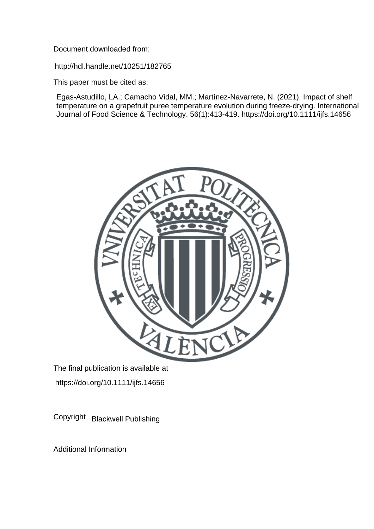Document downloaded from:

http://hdl.handle.net/10251/182765

This paper must be cited as:

Egas-Astudillo, LA.; Camacho Vidal, MM.; Martínez-Navarrete, N. (2021). Impact of shelf temperature on a grapefruit puree temperature evolution during freeze-drying. International Journal of Food Science & Technology. 56(1):413-419. https://doi.org/10.1111/ijfs.14656



The final publication is available at https://doi.org/10.1111/ijfs.14656

Copyright Blackwell Publishing

Additional Information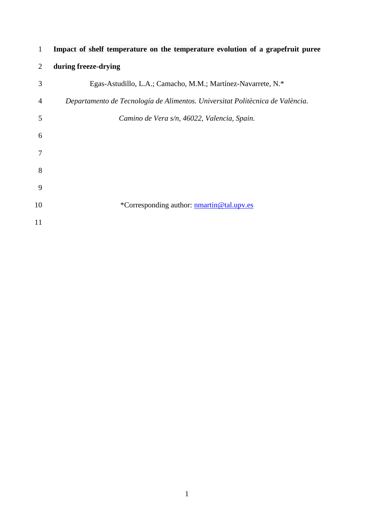| $\mathbf{1}$   | Impact of shelf temperature on the temperature evolution of a grapefruit puree |  |  |  |
|----------------|--------------------------------------------------------------------------------|--|--|--|
| 2              | during freeze-drying                                                           |  |  |  |
| 3              | Egas-Astudillo, L.A.; Camacho, M.M.; Martínez-Navarrete, N.*                   |  |  |  |
| $\overline{4}$ | Departamento de Tecnología de Alimentos. Universitat Politècnica de València.  |  |  |  |
| 5              | Camino de Vera s/n, 46022, Valencia, Spain.                                    |  |  |  |
| 6              |                                                                                |  |  |  |
|                |                                                                                |  |  |  |
| 8              |                                                                                |  |  |  |
| 9              |                                                                                |  |  |  |
| 10             | *Corresponding author: nmartin@tal.upv.es                                      |  |  |  |
| 11             |                                                                                |  |  |  |
|                |                                                                                |  |  |  |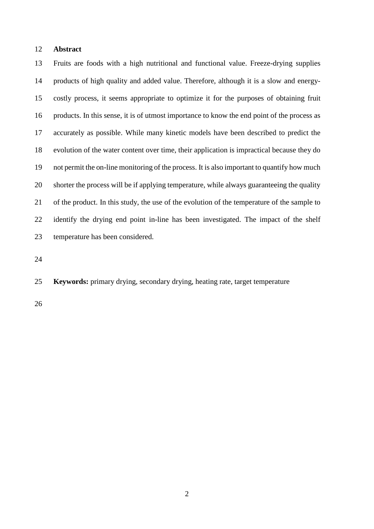## **Abstract**

 Fruits are foods with a high nutritional and functional value. Freeze-drying supplies products of high quality and added value. Therefore, although it is a slow and energy- costly process, it seems appropriate to optimize it for the purposes of obtaining fruit products. In this sense, it is of utmost importance to know the end point of the process as accurately as possible. While many kinetic models have been described to predict the evolution of the water content over time, their application is impractical because they do not permit the on-line monitoring of the process. It is also important to quantify how much shorter the process will be if applying temperature, while always guaranteeing the quality of the product. In this study, the use of the evolution of the temperature of the sample to identify the drying end point in-line has been investigated. The impact of the shelf temperature has been considered.

**Keywords:** primary drying, secondary drying, heating rate, target temperature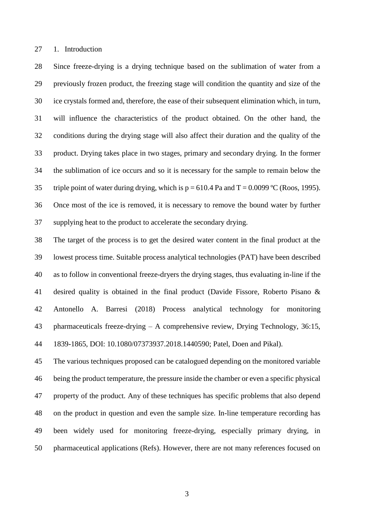1. Introduction

 Since freeze-drying is a drying technique based on the sublimation of water from a previously frozen product, the freezing stage will condition the quantity and size of the ice crystals formed and, therefore, the ease of their subsequent elimination which, in turn, will influence the characteristics of the product obtained. On the other hand, the conditions during the drying stage will also affect their duration and the quality of the product. Drying takes place in two stages, primary and secondary drying. In the former the sublimation of ice occurs and so it is necessary for the sample to remain below the 35 triple point of water during drying, which is  $p = 610.4$  Pa and  $T = 0.0099$  °C (Roos, 1995). Once most of the ice is removed, it is necessary to remove the bound water by further supplying heat to the product to accelerate the secondary drying.

 The target of the process is to get the desired water content in the final product at the lowest process time. Suitable process analytical technologies (PAT) have been described as to follow in conventional freeze-dryers the drying stages, thus evaluating in-line if the desired quality is obtained in the final product (Davide Fissore, Roberto Pisano & Antonello A. Barresi (2018) Process analytical technology for monitoring pharmaceuticals freeze-drying – A comprehensive review, Drying Technology, 36:15, 1839-1865, DOI: 10.1080/07373937.2018.1440590; Patel, Doen and Pikal).

 The various techniques proposed can be catalogued depending on the monitored variable being the product temperature, the pressure inside the chamber or even a specific physical property of the product. Any of these techniques has specific problems that also depend on the product in question and even the sample size. In-line temperature recording has been widely used for monitoring freeze-drying, especially primary drying, in pharmaceutical applications (Refs). However, there are not many references focused on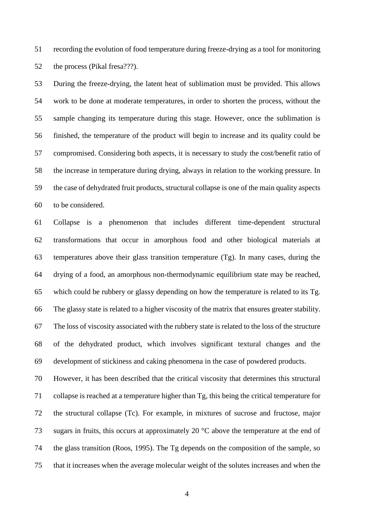recording the evolution of food temperature during freeze-drying as a tool for monitoring 52 the process (Pikal fresa???).

 During the freeze-drying, the latent heat of sublimation must be provided. This allows work to be done at moderate temperatures, in order to shorten the process, without the sample changing its temperature during this stage. However, once the sublimation is finished, the temperature of the product will begin to increase and its quality could be compromised. Considering both aspects, it is necessary to study the cost/benefit ratio of the increase in temperature during drying, always in relation to the working pressure. In the case of dehydrated fruit products, structural collapse is one of the main quality aspects to be considered.

 Collapse is a phenomenon that includes different time-dependent structural transformations that occur in amorphous food and other biological materials at temperatures above their glass transition temperature (Tg). In many cases, during the drying of a food, an amorphous non-thermodynamic equilibrium state may be reached, which could be rubbery or glassy depending on how the temperature is related to its Tg. The glassy state is related to a higher viscosity of the matrix that ensures greater stability. The loss of viscosity associated with the rubbery state is related to the loss of the structure of the dehydrated product, which involves significant textural changes and the development of stickiness and caking phenomena in the case of powdered products.

 However, it has been described that the critical viscosity that determines this structural collapse is reached at a temperature higher than Tg, this being the critical temperature for the structural collapse (Tc). For example, in mixtures of sucrose and fructose, major sugars in fruits, this occurs at approximately 20 °C above the temperature at the end of the glass transition (Roos, 1995). The Tg depends on the composition of the sample, so that it increases when the average molecular weight of the solutes increases and when the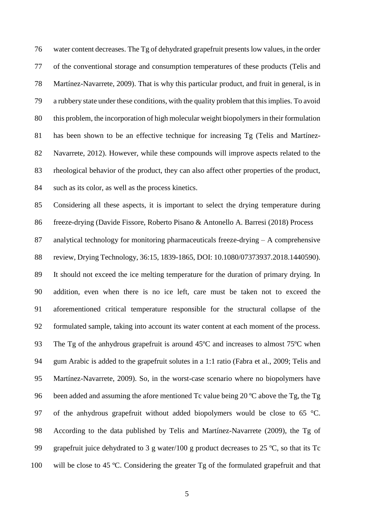water content decreases. The Tg of dehydrated grapefruit presents low values, in the order of the conventional storage and consumption temperatures of these products (Telis and Martínez-Navarrete, 2009). That is why this particular product, and fruit in general, is in a rubbery state under these conditions, with the quality problem that this implies. To avoid this problem, the incorporation of high molecular weight biopolymers in their formulation has been shown to be an effective technique for increasing Tg (Telis and Martínez- Navarrete, 2012). However, while these compounds will improve aspects related to the rheological behavior of the product, they can also affect other properties of the product, such as its color, as well as the process kinetics.

 Considering all these aspects, it is important to select the drying temperature during freeze-drying (Davide Fissore, Roberto Pisano & Antonello A. Barresi (2018) Process analytical technology for monitoring pharmaceuticals freeze-drying – A comprehensive review, Drying Technology, 36:15, 1839-1865, DOI: 10.1080/07373937.2018.1440590). It should not exceed the ice melting temperature for the duration of primary drying. In addition, even when there is no ice left, care must be taken not to exceed the aforementioned critical temperature responsible for the structural collapse of the formulated sample, taking into account its water content at each moment of the process. The Tg of the anhydrous grapefruit is around 45ºC and increases to almost 75ºC when gum Arabic is added to the grapefruit solutes in a 1:1 ratio (Fabra et al., 2009; Telis and Martínez-Navarrete, 2009). So, in the worst-case scenario where no biopolymers have 96 been added and assuming the afore mentioned Tc value being 20  $^{\circ}$ C above the Tg, the Tg 97 of the anhydrous grapefruit without added biopolymers would be close to 65 °C. According to the data published by Telis and Martínez-Navarrete (2009), the Tg of grapefruit juice dehydrated to 3 g water/100 g product decreases to 25 ºC, so that its Tc will be close to 45 ºC. Considering the greater Tg of the formulated grapefruit and that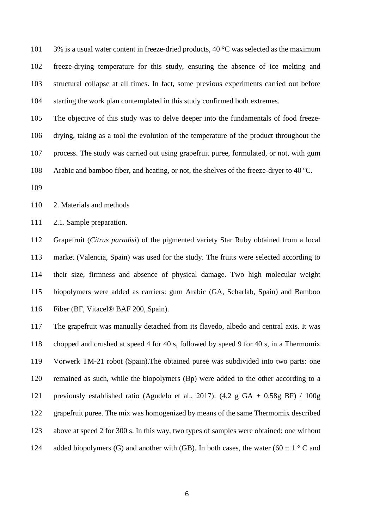$3\%$  is a usual water content in freeze-dried products, 40 °C was selected as the maximum freeze-drying temperature for this study, ensuring the absence of ice melting and structural collapse at all times. In fact, some previous experiments carried out before starting the work plan contemplated in this study confirmed both extremes.

 The objective of this study was to delve deeper into the fundamentals of food freeze- drying, taking as a tool the evolution of the temperature of the product throughout the process. The study was carried out using grapefruit puree, formulated, or not, with gum Arabic and bamboo fiber, and heating, or not, the shelves of the freeze-dryer to 40 ºC.

2. Materials and methods

2.1. Sample preparation.

 Grapefruit (*Citrus paradisi*) of the pigmented variety Star Ruby obtained from a local market (Valencia, Spain) was used for the study. The fruits were selected according to their size, firmness and absence of physical damage. Two high molecular weight biopolymers were added as carriers: gum Arabic (GA, Scharlab, Spain) and Bamboo Fiber (BF, Vitacel® BAF 200, Spain).

 The grapefruit was manually detached from its flavedo, albedo and central axis. It was chopped and crushed at speed 4 for 40 s, followed by speed 9 for 40 s, in a Thermomix Vorwerk TM-21 robot (Spain).The obtained puree was subdivided into two parts: one remained as such, while the biopolymers (Bp) were added to the other according to a previously established ratio (Agudelo et al., 2017): (4.2 g GA + 0.58g BF) / 100g grapefruit puree. The mix was homogenized by means of the same Thermomix described above at speed 2 for 300 s. In this way, two types of samples were obtained: one without 124 added biopolymers (G) and another with (GB). In both cases, the water (60  $\pm$  1 ° C and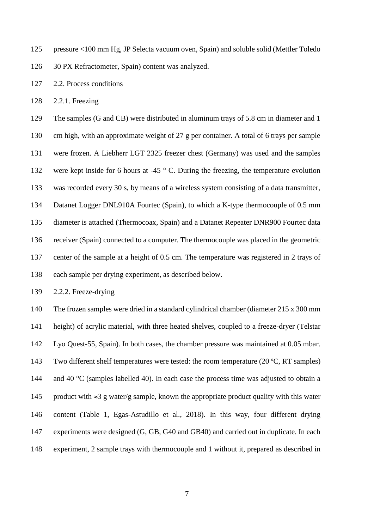pressure <100 mm Hg, JP Selecta vacuum oven, Spain) and soluble solid (Mettler Toledo

30 PX Refractometer, Spain) content was analyzed.

2.2. Process conditions

2.2.1. Freezing

 The samples (G and CB) were distributed in aluminum trays of 5.8 cm in diameter and 1 cm high, with an approximate weight of 27 g per container. A total of 6 trays per sample were frozen. A Liebherr LGT 2325 freezer chest (Germany) was used and the samples were kept inside for 6 hours at -45 ° C. During the freezing, the temperature evolution was recorded every 30 s, by means of a wireless system consisting of a data transmitter, Datanet Logger DNL910A Fourtec (Spain), to which a K-type thermocouple of 0.5 mm diameter is attached (Thermocoax, Spain) and a Datanet Repeater DNR900 Fourtec data receiver (Spain) connected to a computer. The thermocouple was placed in the geometric center of the sample at a height of 0.5 cm. The temperature was registered in 2 trays of each sample per drying experiment, as described below.

2.2.2. Freeze-drying

 The frozen samples were dried in a standard cylindrical chamber (diameter 215 x 300 mm height) of acrylic material, with three heated shelves, coupled to a freeze-dryer (Telstar Lyo Quest-55, Spain). In both cases, the chamber pressure was maintained at 0.05 mbar. Two different shelf temperatures were tested: the room temperature (20 ºC, RT samples) 144 and 40 °C (samples labelled 40). In each case the process time was adjusted to obtain a 145 product with  $\approx 3$  g water/g sample, known the appropriate product quality with this water content (Table 1, Egas-Astudillo et al., 2018). In this way, four different drying experiments were designed (G, GB, G40 and GB40) and carried out in duplicate. In each experiment, 2 sample trays with thermocouple and 1 without it, prepared as described in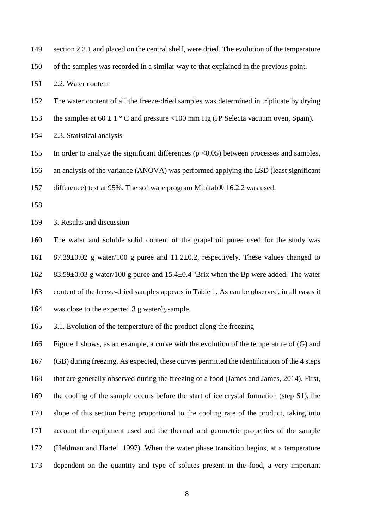149 section 2.2.1 and placed on the central shelf, were dried. The evolution of the temperature

of the samples was recorded in a similar way to that explained in the previous point.

2.2. Water content

The water content of all the freeze-dried samples was determined in triplicate by drying

153 the samples at  $60 \pm 1$  ° C and pressure <100 mm Hg (JP Selecta vacuum oven, Spain).

2.3. Statistical analysis

155 In order to analyze the significant differences ( $p < 0.05$ ) between processes and samples,

an analysis of the variance (ANOVA) was performed applying the LSD (least significant

difference) test at 95%. The software program Minitab® 16.2.2 was used.

3. Results and discussion

 The water and soluble solid content of the grapefruit puree used for the study was 87.39±0.02 g water/100 g puree and 11.2±0.2, respectively. These values changed to

83.59±0.03 g water/100 g puree and 15.4±0.4 ºBrix when the Bp were added. The water

content of the freeze-dried samples appears in Table 1. As can be observed, in all cases it

was close to the expected 3 g water/g sample.

3.1. Evolution of the temperature of the product along the freezing

 Figure 1 shows, as an example, a curve with the evolution of the temperature of (G) and (GB) during freezing. As expected, these curves permitted the identification of the 4 steps that are generally observed during the freezing of a food (James and James, 2014). First, the cooling of the sample occurs before the start of ice crystal formation (step S1), the slope of this section being proportional to the cooling rate of the product, taking into account the equipment used and the thermal and geometric properties of the sample (Heldman and Hartel, 1997). When the water phase transition begins, at a temperature dependent on the quantity and type of solutes present in the food, a very important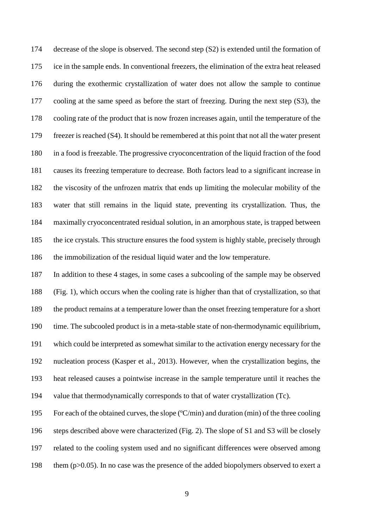decrease of the slope is observed. The second step (S2) is extended until the formation of ice in the sample ends. In conventional freezers, the elimination of the extra heat released during the exothermic crystallization of water does not allow the sample to continue cooling at the same speed as before the start of freezing. During the next step (S3), the cooling rate of the product that is now frozen increases again, until the temperature of the freezer is reached (S4). It should be remembered at this point that not all the water present in a food is freezable. The progressive cryoconcentration of the liquid fraction of the food causes its freezing temperature to decrease. Both factors lead to a significant increase in the viscosity of the unfrozen matrix that ends up limiting the molecular mobility of the water that still remains in the liquid state, preventing its crystallization. Thus, the maximally cryoconcentrated residual solution, in an amorphous state, is trapped between the ice crystals. This structure ensures the food system is highly stable, precisely through the immobilization of the residual liquid water and the low temperature.

 In addition to these 4 stages, in some cases a subcooling of the sample may be observed (Fig. 1), which occurs when the cooling rate is higher than that of crystallization, so that the product remains at a temperature lower than the onset freezing temperature for a short time. The subcooled product is in a meta-stable state of non-thermodynamic equilibrium, which could be interpreted as somewhat similar to the activation energy necessary for the nucleation process (Kasper et al., 2013). However, when the crystallization begins, the heat released causes a pointwise increase in the sample temperature until it reaches the value that thermodynamically corresponds to that of water crystallization (Tc).

 For each of the obtained curves, the slope (ºC/min) and duration (min) of the three cooling steps described above were characterized (Fig. 2). The slope of S1 and S3 will be closely related to the cooling system used and no significant differences were observed among them (p>0.05). In no case was the presence of the added biopolymers observed to exert a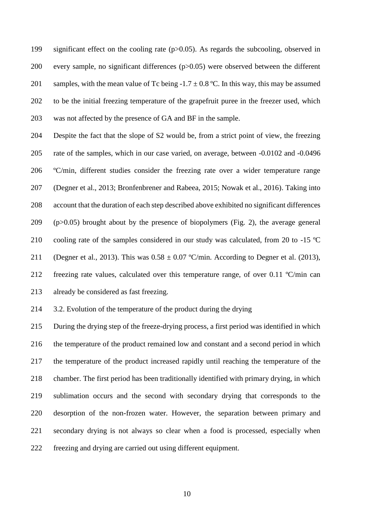significant effect on the cooling rate (p>0.05). As regards the subcooling, observed in every sample, no significant differences (p>0.05) were observed between the different 201 samples, with the mean value of Tc being -1.7  $\pm$  0.8 °C. In this way, this may be assumed to be the initial freezing temperature of the grapefruit puree in the freezer used, which was not affected by the presence of GA and BF in the sample.

 Despite the fact that the slope of S2 would be, from a strict point of view, the freezing rate of the samples, which in our case varied, on average, between -0.0102 and -0.0496 ºC/min, different studies consider the freezing rate over a wider temperature range (Degner et al., 2013; Bronfenbrener and Rabeea, 2015; Nowak et al., 2016). Taking into account that the duration of each step described above exhibited no significant differences (p>0.05) brought about by the presence of biopolymers (Fig. 2), the average general 210 cooling rate of the samples considered in our study was calculated, from 20 to -15 °C 211 (Degner et al., 2013). This was  $0.58 \pm 0.07$  °C/min. According to Degner et al. (2013), freezing rate values, calculated over this temperature range, of over 0.11 ºC/min can already be considered as fast freezing.

3.2. Evolution of the temperature of the product during the drying

 During the drying step of the freeze-drying process, a first period was identified in which the temperature of the product remained low and constant and a second period in which the temperature of the product increased rapidly until reaching the temperature of the chamber. The first period has been traditionally identified with primary drying, in which sublimation occurs and the second with secondary drying that corresponds to the desorption of the non-frozen water. However, the separation between primary and secondary drying is not always so clear when a food is processed, especially when freezing and drying are carried out using different equipment.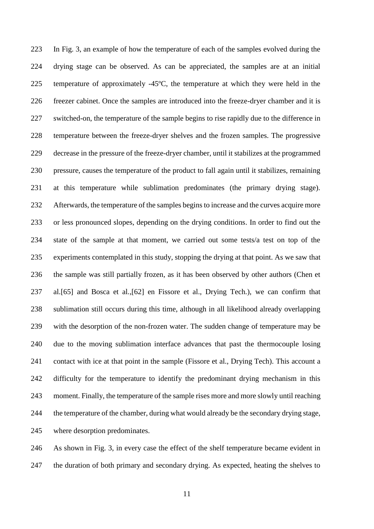In Fig. 3, an example of how the temperature of each of the samples evolved during the drying stage can be observed. As can be appreciated, the samples are at an initial temperature of approximately -45ºC, the temperature at which they were held in the freezer cabinet. Once the samples are introduced into the freeze-dryer chamber and it is switched-on, the temperature of the sample begins to rise rapidly due to the difference in temperature between the freeze-dryer shelves and the frozen samples. The progressive decrease in the pressure of the freeze-dryer chamber, until it stabilizes at the programmed pressure, causes the temperature of the product to fall again until it stabilizes, remaining at this temperature while sublimation predominates (the primary drying stage). Afterwards, the temperature of the samples begins to increase and the curves acquire more or less pronounced slopes, depending on the drying conditions. In order to find out the state of the sample at that moment, we carried out some tests/a test on top of the experiments contemplated in this study, stopping the drying at that point. As we saw that the sample was still partially frozen, as it has been observed by other authors (Chen et al.[65] and Bosca et al.,[62] en Fissore et al., Drying Tech.), we can confirm that sublimation still occurs during this time, although in all likelihood already overlapping with the desorption of the non-frozen water. The sudden change of temperature may be due to the moving sublimation interface advances that past the thermocouple losing contact with ice at that point in the sample (Fissore et al., Drying Tech). This account a difficulty for the temperature to identify the predominant drying mechanism in this moment. Finally, the temperature of the sample rises more and more slowly until reaching the temperature of the chamber, during what would already be the secondary drying stage, where desorption predominates.

 As shown in Fig. 3, in every case the effect of the shelf temperature became evident in the duration of both primary and secondary drying. As expected, heating the shelves to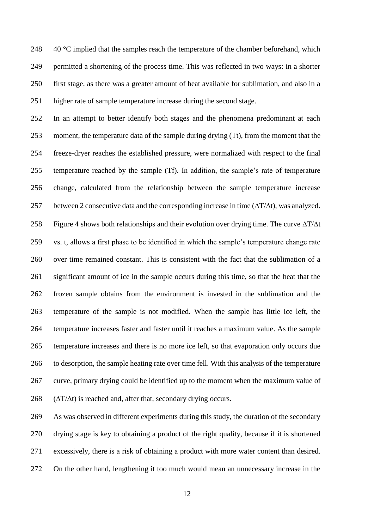$\div$  40 °C implied that the samples reach the temperature of the chamber beforehand, which permitted a shortening of the process time. This was reflected in two ways: in a shorter first stage, as there was a greater amount of heat available for sublimation, and also in a higher rate of sample temperature increase during the second stage.

 In an attempt to better identify both stages and the phenomena predominant at each moment, the temperature data of the sample during drying (Tt), from the moment that the freeze-dryer reaches the established pressure, were normalized with respect to the final temperature reached by the sample (Tf). In addition, the sample's rate of temperature change, calculated from the relationship between the sample temperature increase 257 between 2 consecutive data and the corresponding increase in time  $(\Delta T/\Delta t)$ , was analyzed. 258 Figure 4 shows both relationships and their evolution over drying time. The curve  $\Delta T/\Delta t$  vs. t, allows a first phase to be identified in which the sample's temperature change rate over time remained constant. This is consistent with the fact that the sublimation of a significant amount of ice in the sample occurs during this time, so that the heat that the frozen sample obtains from the environment is invested in the sublimation and the temperature of the sample is not modified. When the sample has little ice left, the temperature increases faster and faster until it reaches a maximum value. As the sample temperature increases and there is no more ice left, so that evaporation only occurs due to desorption, the sample heating rate over time fell. With this analysis of the temperature curve, primary drying could be identified up to the moment when the maximum value of ( $\Delta T/\Delta t$ ) is reached and, after that, secondary drying occurs.

 As was observed in different experiments during this study, the duration of the secondary drying stage is key to obtaining a product of the right quality, because if it is shortened excessively, there is a risk of obtaining a product with more water content than desired. On the other hand, lengthening it too much would mean an unnecessary increase in the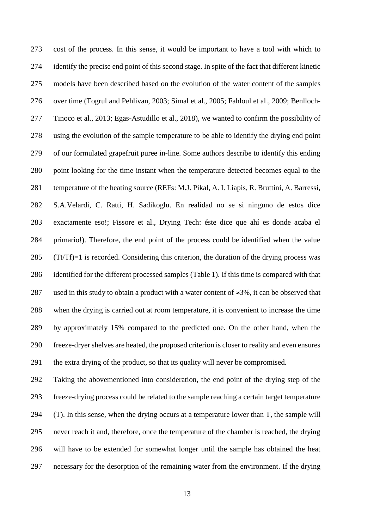cost of the process. In this sense, it would be important to have a tool with which to identify the precise end point of this second stage. In spite of the fact that different kinetic models have been described based on the evolution of the water content of the samples over time (Togrul and Pehlivan, 2003; Simal et al., 2005; Fahloul et al., 2009; Benlloch- Tinoco et al., 2013; Egas-Astudillo et al., 2018), we wanted to confirm the possibility of using the evolution of the sample temperature to be able to identify the drying end point of our formulated grapefruit puree in-line. Some authors describe to identify this ending point looking for the time instant when the temperature detected becomes equal to the temperature of the heating source (REFs: M.J. Pikal, A. I. Liapis, R. Bruttini, A. Barressi, S.A.Velardi, C. Ratti, H. Sadikoglu. En realidad no se si ninguno de estos dice exactamente eso!; Fissore et al., Drying Tech: éste dice que ahí es donde acaba el primario!). Therefore, the end point of the process could be identified when the value (Tt/Tf)=1 is recorded. Considering this criterion, the duration of the drying process was identified for the different processed samples (Table 1). If this time is compared with that 287 used in this study to obtain a product with a water content of  $\approx 3\%$ , it can be observed that when the drying is carried out at room temperature, it is convenient to increase the time by approximately 15% compared to the predicted one. On the other hand, when the freeze-dryer shelves are heated, the proposed criterion is closer to reality and even ensures the extra drying of the product, so that its quality will never be compromised.

 Taking the abovementioned into consideration, the end point of the drying step of the freeze-drying process could be related to the sample reaching a certain target temperature (T). In this sense, when the drying occurs at a temperature lower than T, the sample will never reach it and, therefore, once the temperature of the chamber is reached, the drying will have to be extended for somewhat longer until the sample has obtained the heat necessary for the desorption of the remaining water from the environment. If the drying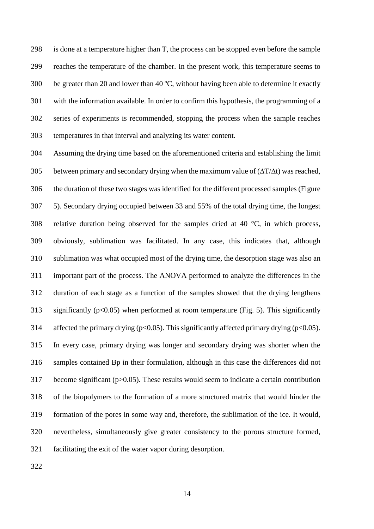is done at a temperature higher than T, the process can be stopped even before the sample reaches the temperature of the chamber. In the present work, this temperature seems to be greater than 20 and lower than 40 ºC, without having been able to determine it exactly with the information available. In order to confirm this hypothesis, the programming of a series of experiments is recommended, stopping the process when the sample reaches temperatures in that interval and analyzing its water content.

 Assuming the drying time based on the aforementioned criteria and establishing the limit 305 between primary and secondary drying when the maximum value of  $(\Delta T/\Delta t)$  was reached, the duration of these two stages was identified for the different processed samples (Figure 5). Secondary drying occupied between 33 and 55% of the total drying time, the longest 308 relative duration being observed for the samples dried at 40  $\degree$ C, in which process, obviously, sublimation was facilitated. In any case, this indicates that, although sublimation was what occupied most of the drying time, the desorption stage was also an important part of the process. The ANOVA performed to analyze the differences in the duration of each stage as a function of the samples showed that the drying lengthens 313 significantly ( $p<0.05$ ) when performed at room temperature (Fig. 5). This significantly 314 affected the primary drying ( $p<0.05$ ). This significantly affected primary drying ( $p<0.05$ ). In every case, primary drying was longer and secondary drying was shorter when the samples contained Bp in their formulation, although in this case the differences did not become significant (p>0.05). These results would seem to indicate a certain contribution of the biopolymers to the formation of a more structured matrix that would hinder the formation of the pores in some way and, therefore, the sublimation of the ice. It would, nevertheless, simultaneously give greater consistency to the porous structure formed, facilitating the exit of the water vapor during desorption.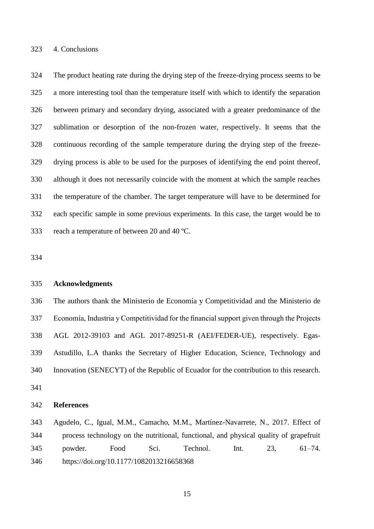## 4. Conclusions

 The product heating rate during the drying step of the freeze-drying process seems to be a more interesting tool than the temperature itself with which to identify the separation between primary and secondary drying, associated with a greater predominance of the sublimation or desorption of the non-frozen water, respectively. It seems that the continuous recording of the sample temperature during the drying step of the freeze- drying process is able to be used for the purposes of identifying the end point thereof, although it does not necessarily coincide with the moment at which the sample reaches the temperature of the chamber. The target temperature will have to be determined for each specific sample in some previous experiments. In this case, the target would be to reach a temperature of between 20 and 40 ºC.

## **Acknowledgments**

 The authors thank the Ministerio de Economía y Competitividad and the Ministerio de Economía, Industria y Competitividad for the financial support given through the Projects AGL 2012-39103 and AGL 2017-89251-R (AEI/FEDER-UE), respectively. Egas- Astudillo, L.A thanks the Secretary of Higher Education, Science, Technology and Innovation (SENECYT) of the Republic of Ecuador for the contribution to this research. 

## **References**

 Agudelo, C., Igual, M.M., Camacho, M.M., Martínez-Navarrete, N., 2017. Effect of process technology on the nutritional, functional, and physical quality of grapefruit powder. Food Sci. Technol. Int. 23, 61–74. https://doi.org/10.1177/1082013216658368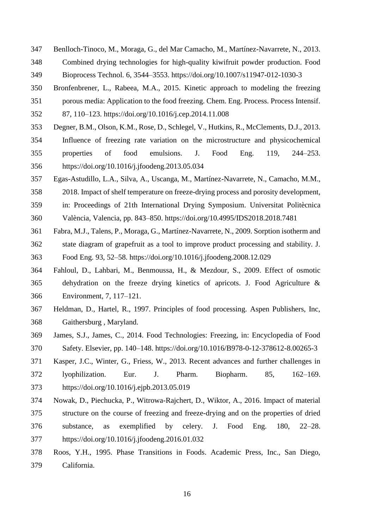- Benlloch-Tinoco, M., Moraga, G., del Mar Camacho, M., Martínez-Navarrete, N., 2013.
- Combined drying technologies for high-quality kiwifruit powder production. Food Bioprocess Technol. 6, 3544–3553. https://doi.org/10.1007/s11947-012-1030-3
- Bronfenbrener, L., Rabeea, M.A., 2015. Kinetic approach to modeling the freezing
- porous media: Application to the food freezing. Chem. Eng. Process. Process Intensif.
- 87, 110–123. https://doi.org/10.1016/j.cep.2014.11.008
- Degner, B.M., Olson, K.M., Rose, D., Schlegel, V., Hutkins, R., McClements, D.J., 2013.
- Influence of freezing rate variation on the microstructure and physicochemical properties of food emulsions. J. Food Eng. 119, 244–253. https://doi.org/10.1016/j.jfoodeng.2013.05.034
- Egas-Astudillo, L.A., Silva, A., Uscanga, M., Martínez-Navarrete, N., Camacho, M.M.,
- 2018. Impact of shelf temperature on freeze-drying process and porosity development,
- in: Proceedings of 21th International Drying Symposium. Universitat Politècnica
- València, Valencia, pp. 843–850. https://doi.org/10.4995/IDS2018.2018.7481
- Fabra, M.J., Talens, P., Moraga, G., Martínez-Navarrete, N., 2009. Sorption isotherm and state diagram of grapefruit as a tool to improve product processing and stability. J. Food Eng. 93, 52–58. https://doi.org/10.1016/j.jfoodeng.2008.12.029
- Fahloul, D., Lahbari, M., Benmoussa, H., & Mezdour, S., 2009. Effect of osmotic dehydration on the freeze drying kinetics of apricots. J. Food Agriculture & Environment, 7, 117–121.
- Heldman, D., Hartel, R., 1997. Principles of food processing. Aspen Publishers, Inc, Gaithersburg , Maryland.
- James, S.J., James, C., 2014. Food Technologies: Freezing, in: Encyclopedia of Food Safety. Elsevier, pp. 140–148. https://doi.org/10.1016/B978-0-12-378612-8.00265-3
- Kasper, J.C., Winter, G., Friess, W., 2013. Recent advances and further challenges in
- lyophilization. Eur. J. Pharm. Biopharm. 85, 162–169. https://doi.org/10.1016/j.ejpb.2013.05.019
- Nowak, D., Piechucka, P., Witrowa-Rajchert, D., Wiktor, A., 2016. Impact of material structure on the course of freezing and freeze-drying and on the properties of dried substance, as exemplified by celery. J. Food Eng. 180, 22–28. https://doi.org/10.1016/j.jfoodeng.2016.01.032
- Roos, Y.H., 1995. Phase Transitions in Foods. Academic Press, Inc., San Diego, California.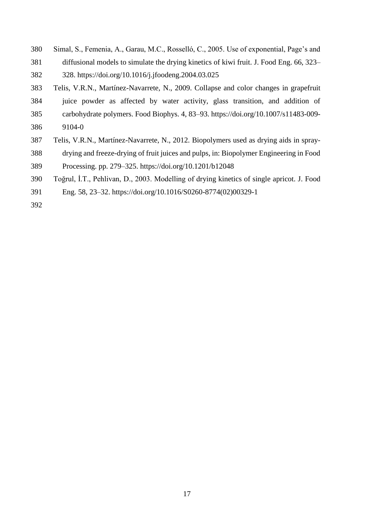- Simal, S., Femenia, A., Garau, M.C., Rosselló, C., 2005. Use of exponential, Page's and
- diffusional models to simulate the drying kinetics of kiwi fruit. J. Food Eng. 66, 323–
- 328. https://doi.org/10.1016/j.jfoodeng.2004.03.025
- Telis, V.R.N., Martínez-Navarrete, N., 2009. Collapse and color changes in grapefruit juice powder as affected by water activity, glass transition, and addition of carbohydrate polymers. Food Biophys. 4, 83–93. https://doi.org/10.1007/s11483-009- 9104-0
- Telis, V.R.N., Martínez-Navarrete, N., 2012. Biopolymers used as drying aids in spray-
- drying and freeze-drying of fruit juices and pulps, in: Biopolymer Engineering in Food Processing. pp. 279–325. https://doi.org/10.1201/b12048
- Toğrul, İ.T., Pehlivan, D., 2003. Modelling of drying kinetics of single apricot. J. Food
- Eng. 58, 23–32. https://doi.org/10.1016/S0260-8774(02)00329-1